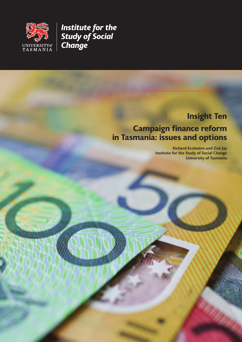

*Institute for the Study of Social Change*

# **Insight Ten**

# **Campaign finance reform in Tasmania: issues and options**

**Richard Eccleston and Zoë Jay Institute for the Study of Social Change University of Tasmania**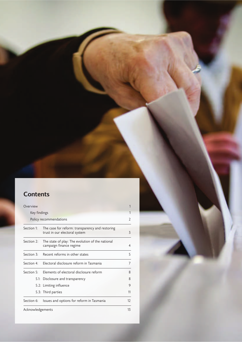# **Contents**

| Overview         |                                                                                  |                                                                             | 1  |  |  |  |
|------------------|----------------------------------------------------------------------------------|-----------------------------------------------------------------------------|----|--|--|--|
| Key findings     |                                                                                  |                                                                             |    |  |  |  |
|                  |                                                                                  | Policy recommendations                                                      | 2  |  |  |  |
| Section 1:       | The case for reform: transparency and restoring<br>trust in our electoral system |                                                                             |    |  |  |  |
| Section 2:       |                                                                                  | The state of play: The evolution of the national<br>campaign finance regime | 4  |  |  |  |
| Section 3:       |                                                                                  | Recent reforms in other states                                              | 5  |  |  |  |
| Section 4:       |                                                                                  | Electoral disclosure reform in Tasmania                                     | 7  |  |  |  |
| Section 5:       |                                                                                  | Elements of electoral disclosure reform                                     | 8  |  |  |  |
|                  |                                                                                  | 5.1: Disclosure and transparency                                            | 8  |  |  |  |
|                  |                                                                                  | 5.2: Limiting influence                                                     | 9  |  |  |  |
|                  |                                                                                  | 5.3: Third parties                                                          | 11 |  |  |  |
| Section 6:       |                                                                                  | Issues and options for reform in Tasmania                                   | 12 |  |  |  |
| Acknowledgements |                                                                                  |                                                                             | 13 |  |  |  |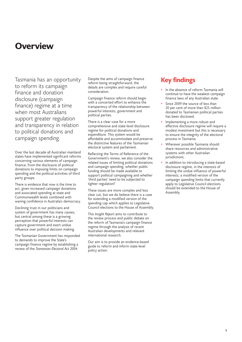# **Overview**

Tasmania has an opportunity to reform its campaign finance and donation disclosure (campaign finance) regime at a time when most Australians support greater regulation and transparency in relation to political donations and campaign spending.

Over the last decade all Australian mainland states have implemented significant reforms concerning various elements of campaign finance, from the disclosure of political donations to imposing limits on campaign spending and the political activities of third party groups.

There is evidence that now is the time to act, given increased campaign donations and associated spending at state and Commonwealth levels combined with waning confidence in Australia's democracy.

Declining trust in our politicians and system of government has many causes, but central among these is a growing perception that powerful interests can capture government and exert undue influence over political decision making.

The Tasmanian Government has responded to demands to improve the State's campaign finance regime by establishing a review of the *Tasmanian Electoral Act 2004*.

Despite the aims of campaign finance reform being straightforward, the details are complex and require careful consideration.

Campaign finance reform should begin with a concerted effort to enhance the transparency of the relationship between powerful interests, government and political parties.

There is a clear case for a more comprehensive and state-level disclosure regime for political donations and expenditure. This system would be affordable and accommodate and preserve the distinctive features of the Tasmanian electoral system and parliament.

Reflecting the Terms of Reference of the Government's review, we also consider the related issues of limiting political donations and campaign spending, whether public funding should be made available to support political campaigning and whether 'third parties' need to be subjected to tighter regulation?

These issues are more complex and less clear cut, but we do believe there is a case for extending a modified version of the spending cap which applies to Legislative Council elections to the House of Assembly.

This *Insight Report* aims to contribute to the review process and public debate on the reform of Tasmania's campaign finance regime through the analysis of recent Australian developments and relevant international research.

Our aim is to provide an evidence-based guide to reform and inform state-level policy action.

## **Key findings**

- In the absence of reform Tasmania will continue to have the weakest campaign finance laws of any Australian state.
- Since 2009 the source of less than 20 per cent of more than \$25 million donated to Tasmanian political parties has been disclosed.
- Implementing a more robust and effective disclosure regime will require a modest investment but this is necessary to ensure the integrity of the electoral process in Tasmania.
- Wherever possible Tasmania should share resources and administrative systems with other Australian jurisdictions.
- In addition to introducing a state-based disclosure regime, in the interests of limiting the undue influence of powerful interests, a modified version of the campaign spending limits that currently apply to Legislative Council elections should be extended to the House of Assembly.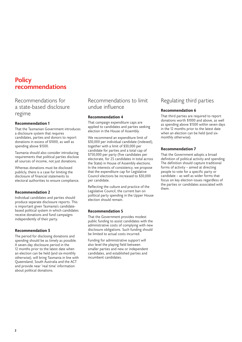## **Policy recommendations**

Recommendations for a state-based disclosure regime

#### **Recommendation 1**

That the Tasmanian Government introduces a disclosure system that requires candidates, parties and donors to report donations in excess of \$1000, as well as spending above \$1500.

Tasmania should also consider introducing requirements that political parties disclose all sources of income, not just donations.

Whereas donations must be disclosed publicly, there is a case for limiting the disclosure of financial statements to electoral authorities to ensure compliance.

#### **Recommendation 2**

Individual candidates and parties should produce separate disclosure reports. This is important given Tasmania's candidatebased political system in which candidates receive donations and fund campaigns independently of their party.

#### **Recommendation 3**

The period for disclosing donations and spending should be as timely as possible. A seven-day disclosure period in the 12 months prior to the latest date when an election can be held (and six-monthly otherwise), will bring Tasmania in line with Queensland, South Australia and the ACT and provide near 'real time' information about political donations.

## Recommendations to limit undue influence

#### **Recommendation 4**

That campaign expenditure caps are applied to candidates and parties seeking election in the House of Assembly.

We recommend an expenditure limit of \$30,000 per individual candidate (indexed), together with a limit of \$30,000 per candidate for parties and a total cap of \$750,000 per party (five candidates per electorate, for 25 candidates in total across the State) in House of Assembly elections. In the interests of consistency, we propose that the expenditure cap for Legislative Council elections be increased to \$30,000 per candidate.

Reflecting the culture and practice of the Legislative Council, the current ban on political party spending in the Upper House election should remain.

#### **Recommendation 5**

That the Government provides modest public funding to assist candidates with the administrative costs of complying with new disclosure obligations. Such funding should be limited to actual costs incurred.

Funding for administrative support will also level the playing field between smaller parties and new or independent candidates, and established parties and incumbent candidates.

## Regulating third parties

#### **Recommendation 6**

That third parties are required to report donations worth \$1000 and above, as well as spending above \$1500 within seven days in the 12 months prior to the latest date when an election can be held (and sixmonthly otherwise).

#### **Recommendation 7**

That the Government adopts a broad definition of political activity and spending. The definition should capture traditional forms of activity – aimed at directing people to vote for a specific party or candidate – as well as wider forms that focus on key election issues regardless of the parties or candidates associated with them.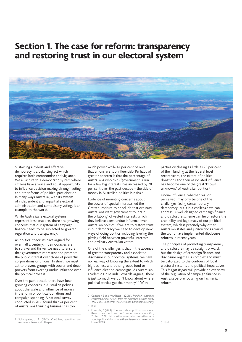# **Section 1. The case for reform: transparency and restoring trust in our electoral system**



Sustaining a robust and effective democracy is a balancing act which requires both compromise and vigilance. We all aspire to a democratic system where citizens have a voice and equal opportunity to influence decision making through voting and other forms of political participation. In many ways Australia, with its system of independent and impartial electoral administration and compulsory voting, is an example to the world.

While Australia's electoral systems represent best practice, there are growing concerns that our system of campaign finance needs to be subjected to greater regulation and transparency.

As political theorists have argued for over half a century, if democracies are to survive and thrive, we need to ensure that governments represent and promote the public interest over those of powerful corporations or unions.<sup>1</sup> In short, we must act to prevent groups with power and deep pockets from exerting undue influence over the political process.

Over the past decade there have been growing concerns in Australian politics about the scale and influence of money in the form of political donations and campaign spending. A national survey conducted in 2016 found that 74 per cent of Australians think big business has too

1 Schumpeter, J. A. (1942). *Capitalism, socialism, and democracy*. New York: Harper.

much power while 47 per cent believe that unions are too influential.<sup>2</sup> Perhaps of greater concern is that the percentage of Australians who think 'government is run for a few big interests' has increased by 20 per cent over the past decade – the tide of money in Australian politics is rising.<sup>3</sup>

Evidence of mounting concerns about the power of special interests led the Grattan Institute to conclude that ordinary Australians want government to 'drain the billabong' of vested interests which they believe exert undue influence over Australian politics. If we are to restore trust in our democracy we need to develop new ways of doing politics including leveling the playing field between powerful interests and ordinary Australian voters.

One of the challenges is that in the absence of greater transparency and associated disclosure in our political systems, we have no real way of knowing the extent to which big business and other groups fund or influence election campaigns. As Australian academic Dr Belinda Edwards argues, 'there is just so much we don't know about where political parties get their money.' <sup>4</sup> With

parties disclosing as little as 20 per cent of their funding at the federal level in recent years, the extent of political donations and their associated influence has become one of the great 'known unknowns' of Australian politics.<sup>5</sup>

Undue influence, whether real or perceived, may only be one of the challenges facing contemporary democracy, but it is a challenge we can address. A well-designed campaign finance and disclosure scheme can help restore the credibility and legitimacy of our political system, which is precisely why other Australian states and jurisdictions around the world have implemented disclosure reforms in recent years.

The principles of promoting transparency and disclosure may be straightforward, but the design of campaign finance and disclosure regimes is complex and must be calibrated to the contours of local electoral systems and political imperatives. This *Insight Report* will provide an overview of the regulation of campaign finance in Australia before focusing on Tasmanian reform.

<sup>2</sup> Cameron S and McAllister I. (2016). *Trends in Australian Political Opinion: Results from the Australian Election Study 1987-2016.* Canberra: The Australian National University. 3 Ibid.

<sup>4</sup> Edwards, B (2018). The truth about political donations: there is so much we don't know. *The Conversation,*  2 Feb 2018, https://theconversation.com/the-truthabout-political-donations-there-is-so-much-we-dontknow-91003.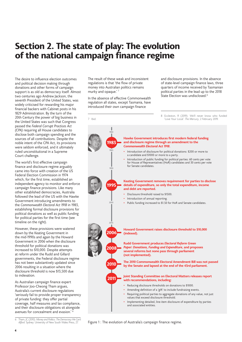# **Section 2. The state of play: The evolution of the national campaign finance regime**

The desire to influence election outcomes and political decision making through donations and other forms of campaign support is as old as democracy itself. Almost two centuries ago Andrew Jackson, the seventh President of the United States, was widely criticised for rewarding his major financial backers with Cabinet posts in his 1829 Administration. By the turn of the 20th Century the power of big business in the United States was such that Congress passed the *Federal Corrupt Practices Act (CPA)* requiring all House candidates to disclose both campaign spending and the sources of all contributions. Despite the noble intent of the CPA Act, its provisions were seldom enforced, and it ultimately ruled unconstitutional in a Supreme Court challenge.

The world's first effective campaign finance and disclosure regime arguably came into force with creation of the US Federal Election Commission in 1974 which, for the first time, established an independent agency to monitor and enforce campaign finance provisions. Like many other established democracies, Australia followed the lead of the US with the Hawke Government introducing amendments to the *Commonwealth Electoral Act 1918* in 1983, establishing formal disclosure provisions for political donations as well as public funding for political parties for the first time (see timeline on the right).

However, these provisions were watered down by the Keating Government in the mid-1990s and again by the Howard Government in 2006 when the disclosure threshold for political donations was increased to \$10,000. Despite attempts at reform under the Rudd and Gillard governments, the Federal disclosure regime has not been substantively updated since 2006 resulting in a situation where the disclosure threshold is now \$13,500 due to indexation.

As Australian campaign finance expert Professor Joo-Cheong Tham argues, Australia's current disclosure regulations 'seriously fail to provide proper transparency of private funding: they offer partial coverage, half measures and lax compliance, and their disclosure obligations sit alongside avenues for concealment and evasion.' <sup>6</sup>

The result of these weak and inconsistent regulations is that 'the flow of private money into Australian politics remains murky and opaque.'<sup>7</sup>

In the absence of effective Commonwealth regulation all states, except Tasmania, have introduced their own campaign finance

and disclosure provisions. In the absence of state-level campaign finance laws, three quarters of income received by Tasmanian political parties in the lead up to the 2018 .<br>State Election was undisclosed.<sup>8</sup>



Figure 1 : The evolution of Australia's campaign finance regime.

<sup>6</sup> Tham, JC (2010). *Money and Politics: The Democracy We Can't*  Afford. Sydney: University of New South Wales Press, 27.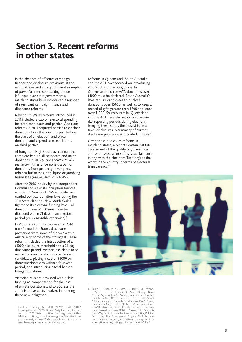# **Section 3. Recent reforms in other states**

In the absence of effective campaign finance and disclosure provisions at the national level and amid prominent examples of powerful interests exerting undue influence over state governments, mainland states have introduced a number of significant campaign finance and disclosure reforms.

New South Wales reforms introduced in 2011 included a cap on electoral spending for both candidates and parties. Additional reforms in 2014 required parties to disclose donations from the previous year before the start of an election, and place donation and expenditure restrictions on third parties.

Although the High Court overturned the complete ban on all corporate and union donations in 2013 (*Unions NSW v NSW – see below)*, it has since upheld a ban on donations from property developers, tobacco businesses, and liquor or gambling businesses (*McCloy and Ors v NSW*).

After the 2016 inquiry by the Independent Commission Against Corruption found a number of New South Wales politicians evaded political donation laws during the 2011 State Election, New South Wales tightened its electoral funding laws – all donations over \$1000 must now be disclosed within 21 days in an election period (or six monthly otherwise). 9

In Victoria, reforms introduced in 2018 transformed the State's disclosure provisions from some of the weakest in Australia to some of the strongest. These reforms included the introduction of a \$1000 disclosure threshold and a 21-day disclosure period. Victoria has also placed restrictions on donations to parties and candidates, placing a cap of \$4000 on domestic donations within a four-year period, and introducing a total ban on foreign donations.

Victorian MPs are provided with public funding as compensation for the loss of private donations and to address the administrative costs involved in meeting these new obligations.

Reforms in Queensland, South Australia and the ACT have focused on introducing stricter disclosure obligations. In Queensland and the ACT, donations over \$1000 must be declared. South Australia's laws require candidates to disclose donations over \$5000, as well as to keep a record of gifts greater than \$200 and loans over \$1000. South Australia, Queensland and the ACT have also introduced sevenday reporting periods during elections, bringing these states the closest to 'real time' disclosures. A summary of current disclosure provisions is provided in Table 1.

Given these disclosure reforms in mainland states, a recent Grattan Institute assessment of the quality of governance across the Australian states rated Tasmania (along with the Northern Territory) as the worst in the country in terms of electoral transparency.<sup>10</sup>



<sup>10</sup> Daley, J., Duckett, S., Goss, P., Terrill, M., Wood, D., Wood, T., and Coates, B., State Orange Book<br>2018: *Policy Priorities for States and Territories*, Grattan<br>15titute, 2018, 102; Edwards, L., 'The Truth About<br>16tit *The Conversation*, 2 Feb 2018, https://theconversation. com/the-truth-about-political-donations-there-is-somuch-we-dont-know-91003 ; Sawer, M., 'Australia Trails Way Behind Other Nations in Regulating Political Donations', *The Conversation*, 2 June 2016, https:// theconversation.com/australia-trails-way-behindothernations-in-regulating-political-donations-59597.

<sup>9</sup> Electoral Funding Act 2018 (NSW); ICAC (2016) Investigation into NSW Liberal Party Electoral Funding for the 2011 State Election Campaign and Other Matters. https://www.icac.nsw.gov.au/investigations / past-investigations/2016/nsw-public-officials-andmembers-of-parliament-operation-spicer.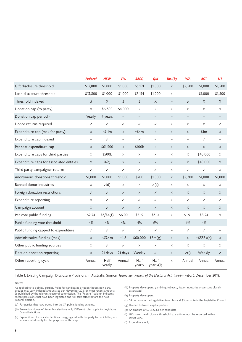|                                          | <b>Federal</b> | <b>NSW</b>         | Vic.                     | SA(a)                    | Qld                      | Tas.(b)                   | <b>WA</b>                | <b>ACT</b>                | <b>NT</b>                 |
|------------------------------------------|----------------|--------------------|--------------------------|--------------------------|--------------------------|---------------------------|--------------------------|---------------------------|---------------------------|
| Gift disclosure threshold                | \$13,800       | \$1,000            | \$1,000                  | \$5,191                  | \$1,000                  | $\boldsymbol{\mathsf{X}}$ | \$2,500                  | \$1,000                   | \$1,500                   |
| Loan disclosure threshold                | \$13,800       | \$1,000            | \$1,000                  | \$5,191                  | \$1,000                  | $\times$                  | $\qquad \qquad -$        | \$1,000                   | \$1,500                   |
| Threshold indexed                        | $\overline{3}$ | X                  | $\overline{3}$           | $\overline{3}$           | $\mathsf X$              | $\overline{\phantom{0}}$  | 3                        | X                         | X                         |
| Donation cap (to party)                  | $\times$       | \$6,300            | \$4,000                  | X                        | X                        | $\boldsymbol{\mathsf{X}}$ | X                        | X                         | X                         |
| Donation cap period -                    | Yearly         | 4 years            | $\overline{\phantom{0}}$ | $\overline{\phantom{0}}$ |                          |                           | $\overline{\phantom{0}}$ |                           |                           |
| Donor returns required                   | ✓              | $\checkmark$       | $\checkmark$             | ✓                        | ✓                        | $\times$                  | $\times$                 | $\times$                  | ✓                         |
| Expenditure cap (max for party)          | $\times$       | $~\sim$ \$11 $~$ m | $\times$                 | ~54m                     | $\times$                 | $\times$                  | $\times$                 | \$1m                      | X                         |
| Expenditure cap indexed                  | $-$            | $\checkmark$       | $\overline{\phantom{0}}$ | ✓                        | $\overline{\phantom{0}}$ | $\overline{\phantom{0}}$  | $\overline{\phantom{0}}$ | ✓                         | $\overline{\phantom{0}}$  |
| Per seat expenditure cap                 | $\times$       | \$61,500           | $\times$                 | \$100k                   | $\times$                 | $\times$                  | $\times$                 | $\times$                  | $\times$                  |
| Expenditure caps for third parties       | X              | \$500k             | X                        | X                        | X                        | $\times$                  | $\times$                 | \$40,000                  | X                         |
| Expenditure caps for associated entities | $\times$       | X(c)               | X                        | $\times$                 | $\times$                 | $\times$                  | $\times$                 | \$40,000                  | X                         |
| Third party campaigner returns           | ✓              | $\checkmark$       | ✓                        | ✓                        | ✓                        | X                         | ✓                        | ✓                         | X                         |
| Anonymous donations threshold            | \$1,000        | \$1,000            | \$1,000                  | \$200                    | \$1,000                  | $\mathsf X$               | \$2,300                  | \$1,000                   | \$1,000                   |
| Banned donor industries                  | X              | $\mathcal{V}(d)$   | X                        | X                        | $\mathcal{V}(e)$         | X                         | X                        | X                         | X                         |
| Foreign donation restrictions            | $\checkmark$   | $\checkmark$       | ✓                        | X                        | $\checkmark$             | $\times$                  | $\times$                 | X                         | X                         |
| Expenditure reporting                    | X              | ✓                  | $\checkmark$             | ✓                        | ✓                        | X                         | $\checkmark$             | ✓                         | ✓                         |
| Campaign account                         | $\times$       | $\checkmark$       | $\checkmark$             | ✓                        | $\times$                 | $\mathsf X$               | $\times$                 | $\times$                  | $\boldsymbol{\mathsf{X}}$ |
| Per vote public funding                  | \$2.74         | \$3/\$4(f)         | \$6.00                   | \$3.19                   | \$3.14                   | $\times$                  | \$1.91                   | \$8.24                    | X                         |
| Public funding vote threshold            | 4%             | 4%                 | 4%                       | 4%                       | 6%                       | $\qquad \qquad -$         | 4%                       | 4%                        |                           |
| Public funding capped to expenditure     | ✓              | ✓                  | ✓                        | ✓                        | ✓                        | $\qquad \qquad -$         | ✓                        | ✓                         | -                         |
| Administrative funding (max)             | $\times$       | ~53.4m             | ~1.8                     | \$60,000                 | 53m(g)                   | $\times$                  | $\times$                 | ~5533k(h)                 | $\times$                  |
| Other public funding sources             | $\times$       | $\checkmark$       | $\checkmark$             | $\mathsf X$              | X                        | X                         | $\times$                 | $\boldsymbol{\mathsf{X}}$ | $\boldsymbol{\mathsf{X}}$ |
| Election donation reporting              | $\times$       | 21 days            | 21 days                  | Weekly                   | $\checkmark$             | $\times$                  | $\checkmark$ (i)         | Weekly                    | ✓                         |
| Other reporting cycle                    | Annual         | Half<br>yearly     | Annual                   | Half<br>yearly           | Half<br>yearly(J)        | $\times$                  | Annual                   | Annual                    | Annual                    |

#### Table 1. Existing Campaign Disclosure Provisions in Australia. Source: *Tasmanian Review of the Electoral Act, Interim Report,* December 2018.

#### Notes:

As applicable to political parties. Rules for candidates or upper-house non-party<br>groups may vary. Indexed amounts as per November 2018 or most recent amounts<br>as published by the relevant electoral commission. The "Federal

(a) For parties that have opted into the SA public funding scheme.

(b) Tasmanian House of Assembly elections only. DiTerent rules apply for Legislative Council elections.

(c) Expenditure of associated entities is aggregated with the party for which they are an associated entity for the purposes of this cap.

(d) Property developers, gambling, tobacco, liquor industries or persons closely associated.

(e) Property developers.

(f) \$4 per vote in the Legislative Assembly and \$3 per vote in the Legislative Council.

(g) Divided between eligible parties.

(h) An amount of \$21,322.64 per candidate.

(i) Gifts over the disclosure threshold at any time must be reported within seven days.

(j) Expenditure only.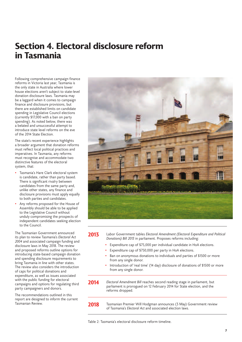# **Section 4. Electoral disclosure reform in Tasmania**

Following comprehensive campaign finance reforms in Victoria last year, Tasmania is the only state in Australia where lower house elections aren't subject to state-level donation disclosure laws. Tasmania may be a laggard when it comes to campaign finance and disclosure provisions, but there are established limits on candidate spending in Legislative Council elections (currently \$17,000 with a ban on party spending). As noted below, there was a belated and unsuccessful attempt to introduce state level reforms on the eve of the 2014 State Election.

The state's recent experience highlights a broader argument that donation reforms must reflect local political practices and imperatives. In Tasmania, any reforms must recognise and accommodate two distinctive features of the electoral system, that:

- Tasmania's Hare Clark electoral system is candidate, rather than party based. There is significant rivalry between candidates from the same party and, unlike other states, any finance and disclosure provisions must apply equally to both parties and candidates.
- Any reforms proposed for the House of Assembly should be able to be applied to the Legislative Council without unduly compromising the prospects of independent candidates seeking election to the Council.

The Tasmanian Government announced its plan to review Tasmania's *Electoral Act 2004* and associated campaign funding and disclosure laws in May 2018. The review and proposed reforms outline options for introducing state-based campaign donation and spending disclosure requirements to bring Tasmania in line with other states. The review also considers the introduction of caps for political donations and expenditure, as well as issues associated with the public funding for electoral campaigns and options for regulating third party campaigners and donors.

The recommendations outlined in this report are designed to inform the current Tasmanian Review.



**2013** Labor Government tables *Electoral Amendment (Electoral Expenditure and Political Donations) Bill 2013* in parliament. Proposes reforms including:

- Expenditure cap of \$75,000 per individual candidate in HoA elections.
- Expenditure cap of \$750,000 per party in HoA elections.
- Ban on anonymous donations to individuals and parties of \$1500 or more from any single donor.
- Introduction of 'real time' (14 day) disclosure of donations of \$1500 or more from any single donor.
- **2014** *Electoral Amendment Bill* reaches second reading stage in parliament, but parliament is prorogued on 12 February 2014 for State election, and the reforms dropped.
- **2018** Tasmanian Premier Will Hodgman announces (3 May) Government review of Tasmania's *Electoral Act* and associated election laws.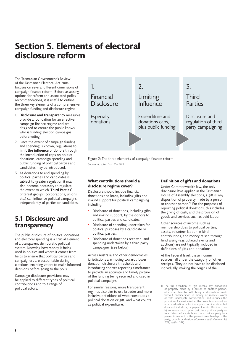# **Section 5. Elements of electoral disclosure reform**

The Tasmanian Government's Review of the Tasmanian Electoral Act 2004 focuses on several different dimensions of campaign finance reform. Before assessing options for reform and associated policy recommendations, it is useful to outline the three key elements of a comprehensive campaign funding and disclosure regime:

- 1. **Disclosure and transparency** measures provide a foundation for an effective campaign finance regime and are designed to ensure the public knows who is funding election campaigns before voting.
- 2. Once the extent of campaign funding and spending is known, regulations to **limit the influence** of donors through the introduction of caps on political donations, campaign spending and public funding of political parties and candidates may be introduced.
- 3. As donations to and spending by political parties and candidates is subject to greater regulation it may also become necessary to regulate the extent to which '**Third Parties'**  (interest groups, corporations, unions etc.) can influence political campaigns independently of parties or candidates.

## **5.1 Disclosure and transparency**

The public disclosure of political donations and electoral spending is a crucial element of a transparent democratic political system. Knowing how money is being used in politics and where it comes from helps to ensure that political parties and campaigners are accountable during elections, enabling voters to make informed decisions before going to the polls.

Campaign disclosure provisions may be applied to different types of political contributions and to a range of political actors.



Figure 2: The three elements of campaign finance reform. Source: Adapted from Orr 2019.

### **What contributions should a disclosure regime cover?**

Disclosure should include financial donations and loans, including gifts and in-kind support for political campaigning including:

- Disclosure of donations, including gifts and in-kind support, by the donors to political parties and candidates.
- Disclosure of spending undertaken for political purposes by a candidate or political parties.
- Disclosure of donations received, and spending undertaken by a third party campaigner (see below).

Across Australia and other democracies, jurisdictions are moving towards lower donation disclosure thresholds and introducing shorter reporting timeframes to provide an accurate and timely picture of the funding being received and used in political campaigns.

For similar reasons, more transparent regimes also aim to use broader and more inclusive definitions of what constitutes a political donation or gift, and what counts as political expenditure.

## **Definition of gifts and donations**

Under Commonwealth law, the only disclosure laws applied in the Tasmanian House of Assembly elections, a gift is 'any disposition of property made by a person to another person.'<sup>11</sup> For the purposes of reporting political donations, this includes the giving of cash, and the provision of goods and services such as paid labour.

Other sources of income such as membership dues to political parties, assets, volunteer labour, in-kind contributions, and money raised through fundraising (e.g. ticketed events and auctions) are not typically included in definitions of gifts and donations.

At the Federal level, these income sources fall under the category of 'other receipts.' They do not have to be disclosed individually, making the origins of the

<sup>11</sup> The full definition is: 'gift means any disposition of property made by a person to another person, otherwise than by will, being a disposition made without consideration in money or money's worth or with inadequate consideration, and includes the provision of a service (other than volunteer labour) for no consideration or for inadequate consideration, but does not include: a) a payment under Division 3; or b) an annual subscription paid to a political party or to a division of a state branch of a political party by a person in respect of the person's membership of the party, branch or division' (*Commonwealth Electoral Act 2018, section 287).*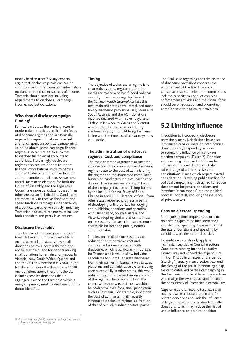money hard to trace.<sup>12</sup> Many experts argue that disclosure provisions can be compromised in the absence of information on donations and other sources of income. Tasmania should consider including requirements to disclose all campaign income, not just donations.

### **Who should disclose campaign funding?**

Political parties, as the primary actor in modern democracies, are the main focus of disclosure regimes and are typically required to report donations received and funds spent on political campaigning. As noted above, some campaign finance regimes also require political parties to disclose full financial accounts to authorities. Increasingly, disclosure regimes also require donors to report financial contributions made to parties and candidates as a form of verification and to promote compliance. As we have noted, Tasmanian elections for both the House of Assembly and the Legislative Council are more candidate focused than other Australian jurisdictions. Candidates are more likely to receive donations and spend funds on campaigns independently of a political party. Given this dynamic, any Tasmanian disclosure regime must include both candidate and party level returns.

### **Disclosure thresholds**

The clear trend in recent years has been towards lower disclosure thresholds. In Australia, mainland states allow small donations below a certain threshold to not be disclosed, and for donors making small donations to remain anonymous. In Victoria, New South Wales, Queensland and the ACT this threshold is \$1000. In the Northern Territory the threshold is \$1500. Any donations above these thresholds, including smaller donations that in aggregate exceed the threshold within a one-year period, must be disclosed and the donor identified.

### **Timing**

The objective of a disclosure regime is to ensure that voters, regulators, and the media are aware who has funded political campaigns before polling day. Given that the *Commonwealth Electoral Act* fails this test, mainland states have introduced more timely disclosure provisions. In Queensland, South Australia and the ACT, donations must be declared within seven days, and 21 days in New South Wales and Victoria. A seven-day disclosure period during election campaigns would bring Tasmania in line with the timeliest disclosure systems in Australia.

#### **The administration of disclosure regimes: Cost and compliance**

The most common arguments against the introduction of a comprehensive disclosure regime relate to the cost of administering the regime and the associated compliance burden on candidates, political parties and donors. These issues were a major focus of the campaign finance workshop hosted by the Institute for the Study of Social Change in April 2019. Electoral officials from other states reported progress in terms of developing online portals for lodging and publishing donations and spending, with Queensland, South Australia and Victoria adopting similar platforms. These online systems are easier to use and more accessible for both the public, donors and candidates.

Simpler, online disclosure systems can reduce the administrative cost and compliance burden associated with disclosure, which is particularly important for Tasmania as it would allow individual candidates to submit separate disclosures from their parties. If Tasmania was to adapt platforms and administrative systems being used successfully in other states, this would reduce the administrative burden and cost of the regime. The consensus from the expert workshop was that cost wouldn't be prohibitive even for a small jurisdiction such as Tasmania. For example, in Victoria the cost of administering its recently introduced disclosure regime is a fraction of that of publicly funding political parties.

The final issue regarding the administration of disclosure provisions concerns the enforcement of the law. There is a consensus that state electoral commissions lack the capacity to conduct complex enforcement activities and their initial focus should be on education and promoting compliance with disclosure provisions.

# **5.2 Limiting influence**

In addition to introducing disclosure provisions, many jurisdictions have also introduced caps or limits on both political donations and/or spending in order to reduce the influence of money on election campaigns (Figure 2). Donation and spending caps can limit the undue influence of powerful actors but also raise a range of administrative and constitutional issues which require careful consideration. Providing public funding for political campaigning is designed to reduce the demand for private donations and introduce 'clean money' into the political process, hopefully reducing the influence of private actors.

### **Caps on electoral spending**

Some jurisdictions impose caps or bans on certain types of political donations and electoral spending. Caps aim to limit the size of donations and spending by candidates, parties or third parties.

Expenditure caps already apply in Tasmanian Legislative Council elections. Candidates running for the Legislative Council may not exceed the expenditure limit of \$17,000 in an expenditure period (starting 1 January in an election year until the closing of the polls). Introducing a cap for candidates and parties campaigning in the Tasmanian House of Assembly elections would align the two houses and enhance the consistency of Tasmanian electoral law.

Caps on electoral expenditure have also been shown to reduce the demand for private donations and limit the influence of large private donors relative to smaller donations, which may reduce the risk of undue influence on political decision

<sup>12</sup> Grattan Institute (2018). *Who's in the Room? Access and Influence in Australian Politics, 34.*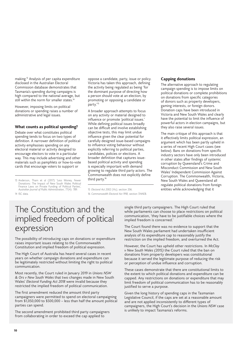making.<sup>13</sup> Analysis of per capita expenditure disclosed in the Australian Electoral Commission database demonstrates that Tasmania's spending during campaigns is high compared to the national average, but still within the norm for smaller states.<sup>14</sup>

However, imposing limits on political donations or spending raises a number of administrative and legal issues.

#### **What counts as political spending?**

Debate over what constitutes political spending tends to focus on two types of definition. A narrower definition of political activity emphasises spending on any electoral material or activity designed to encourage electors to vote in a particular way. This may include advertising and other materials such as pamphlets or how-to-vote cards that encourage voters to support or

13 Anderson, Tham et al (2017) 'Less Money, Fewer Donations: The Impact of New South Wales Political Finance Laws on Private Funding of Political Parties', *Australian Journal of Public Administration*, 77(4): 789.

14 ISC data.

oppose a candidate, party, issue or policy. Victoria has taken this approach, defining the activity being regulated as being 'for the dominant purpose of directing how a person should vote at an election, by promoting or opposing a candidate or party.'<sup>15</sup>

A broader approach attempts to focus on any activity or material designed to influence or promote 'political issues.' While defining political issues broadly can be difficult and involve establishing objective tests, this may limit undue influence given the clear potential for carefully designed issue-based campaigns to influence voting behaviour without explicitly referring to political parties, candidates, policies or elections. A broader definition that captures issuebased political activity and spending is especially important with demand growing to regulate third party actors. The Commonwealth does not explicitly define third party.<sup>16</sup>

#### 15 *Electoral Act 2002 (Vic),* section 206.

16 *Commonwealth Electoral Act 1918*, section 314AEB.

#### **Capping donations**

The alternative approach to regulating campaign spending is to impose limits on political donations or complete prohibitions on donations from specific categories of donors such as property developers, gaming interests, or foreign donors. Donation caps have been introduced in Victoria and New South Wales and clearly have the potential to limit the influence of powerful actors in election campaigns, but they also raise several issues.

The main critique of this approach is that it effectively limits political expression, an argument which has been partly upheld in a series of recent High Court cases (see below). Bans on donations from specific industry sectors have only been introduced in other states after findings of systemic corruption by Queensland's Crime and Misconduct Commission and New South Wales' Independent Commission Against Corruption. The Commonwealth, Victoria, New South Wales and Queensland all regulate political donations from foreign entities while acknowledging that it

# The Constitution and the implied freedom of political expression

The possibility of introducing caps on donations or expenditure raises important issues relating to the Commonwealth Constitution and implied freedom of political expression.

The High Court of Australia has heard several cases in recent years on whether campaign donations and expenditure can be legitimately restricted without limiting the right to political communication.

Most recently, the Court ruled in January 2019 in *Unions NSW & Ors v New South Wales* that two changes made in New South Wales' *Electoral Funding Act 2018* were invalid because they restricted the implied freedom of political communication.

The first amendment reduced the amount third party campaigners were permitted to spend on electoral campaigning from \$1,050,000 to \$500,000 – less than half the amount political parties can spend.

The second amendment prohibited third party campaigners from collaborating in order to exceed the cap applied to

single third party campaigners. The High Court ruled that while parliaments can choose to place restrictions on political communication, 'they have to be justifiable choices where the implied freedom is concerned.'

The Court found there was no evidence to support that the New South Wales parliament had undertaken insufficient analysis of its expenditure cap to reasonably justify the restriction on the implied freedom, and overturned the Act.

However, the Court has upheld other restrictions. In *McCloy v New South Wales (2015)* the Court ruled that the ban on donations from property developers was constitutional because it served the legitimate purpose of reducing the risk or perception of undue influence and corruption.

These cases demonstrate that there are constitutional limits to the extent to which political donations and expenditure can be capped. Any restrictions on donations or expenditure that may limit freedom of political communication has to be reasonably justified to serve a purpose.

Given the long history of spending caps in the Tasmanian Legislative Council, if the caps are set at a reasonable amount and are not applied inconsistently to different types of campaigners, the High Court's decision in the *Unions NSW* case is unlikely to impact Tasmania's reforms.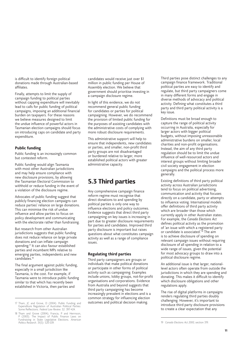is difficult to identify foreign political donations made through Australian-based affiliates.

Finally, attempts to limit the supply of campaign funding to political parties without capping expenditure will inevitably lead to calls for public funding of political campaigns, imposing an additional financial burden on taxpayers. For these reasons we believe measures designed to limit the undue influence of powerful actors in Tasmanian election campaigns should focus on introducing caps on candidate and party expenditure.

### **Public funding**

Public funding is an increasingly common but contested reform.

Public funding would align Tasmania with most other Australian jurisdictions and may help ensure compliance with new disclosure provisions, by allowing the Tasmanian Electoral Commission to withhold or reduce funding in the event of a violation of the disclosure regime.

Advocates of public funding suggest that publicly financing election campaigns can reduce parties' reliance on large donations. This can minimise the risk of undue influence and allow parties to focus on policy development and communicating with the electorate rather than fundraising.

But research from other Australian jurisdictions suggests that public funding does not reduce reliance on large private donations and can inflate campaign spending.<sup>17</sup> It can also favour established parties and incumbent MPs relative to emerging parties, independents and new candidates.<sup>18</sup>

The final argument against public funding, especially in a small jurisdiction like Tasmania, is the cost. For example, if Tasmania were to introduce public funding similar to that which has recently been established in Victoria, then parties and

candidates would receive just over \$1 million in public funding per House of Assembly election. We believe that government should prioritise investing in a campaign disclosure regime.

In light of this evidence, we do not recommend general public funding for candidates or parties for political campaigning. However, we do recommend the provision of limited public funding for the purposes of assisting candidates with the administrative costs of complying with more robust disclosure requirements.

This administrative support will help to ensure that independents, new candidates or parties, and smaller, non-profit third party groups are not disadvantaged or burdened relative to larger, more established political actors with greater administrative capacity.

## **5.3 Third parties**

Any comprehensive campaign finance reform regime must recognise that direct donations to and spending by political parties is only one way to influence elections and policy outcomes. Evidence suggests that direct third party campaigning on key issues is increasing in part due to greater disclosure requirements for parties and candidates. Improved third party disclosure is important but raises questions about what constitutes campaign activity as well as a range of compliance issues.

#### **Regulating third parties**

Third party campaigners are groups or individuals that make political donations or participate in other forms of political activity such as campaigning. Examples include unions, lobby groups, not-for-profit organisations and corporations. Evidence from Australia and beyond suggests that third party campaigning has become increasingly prevalent in elections and is a common strategy for influencing election outcomes and political decision making.

Third parties pose distinct challenges to any campaign finance framework. Traditional political parties are easy to identify and regulate, but third party campaigners come in many different forms and engage in diverse methods of advocacy and political activity. Defining what constitutes a third party and third party political activity is a key issue.

Definitions must be broad enough to capture the range of political activity occurring in Australia, especially for larger actors with bigger political budgets, without imposing unreasonable administrative burdens on smaller, local charities and non-profit organisations. Instead, the aim of any third party regulation should be to limit the undue influence of well-resourced actors and interest groups without limiting broader civil society engagement in election campaigns and the political process more generally.

Existing definitions of third party political activity across Australian jurisdictions tend to focus on political advertising, communication and activity that focuses directly on a candidate, party or attempts to influence voting. International models offer definitions of third party activity which are broader than those which currently apply in other Australian states. For example, the *Canada Elections Act* defines political activity as the promotion of 'an issue with which a registered party or candidate is associated.'<sup>19</sup> The aim is to achieve disclosure of spending on relevant campaign issues without requiring disclosure of all spending in relation to a wide range of issues, given the potential for most advocacy groups to draw into a political disclosure regime.

An additional issue is that larger, nationallevel actors often operate from outside the jurisdictions in which they are spending and donating. This makes it difficult to identify which disclosure obligations and other regulations apply.

The rise of digital platforms in campaigns renders regulating third parties doubly challenging. However, it's important to introduce third party disclosure provisions to create a clear expectation that any

<sup>17</sup> Tham, JC and Grove, D (2004). Public Funding and Expenditure Regulation of Australian Political Parties: Some Reflections. *Federal Law Review.* 32: 397-424.

<sup>18</sup> Tham and Grove (2004); Francia, P and Herrnson, P (2003). The Impact of Public Finance Laws on Fundraising in State Legislative Elections. *American Politics Research.* 31(5): 520-539.

<sup>19</sup> *Canada Elections Act 2000,* section 319.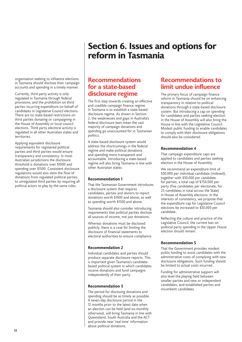# **Section 6. Issues and options for reform in Tasmania**

organisation seeking to influence elections in Tasmania should disclose their campaign accounts and spending in a timely manner.

Currently, third party activity is only regulated in Tasmania through federal provisions, and the prohibition on third parties incurring expenditure on behalf of candidates in Legislative Council elections. There are no state-based restrictions on third parties donating or campaigning in the House of Assembly or local council elections. Third party electoral activity is regulated in all other Australian states and territories.

Applying equivalent disclosure requirements for registered political parties and third parties would ensure transparency and consistency. In most Australian jurisdictions the disclosure threshold is donations over \$1000 and spending over \$1500. Consistent disclosure regulations would also stem the flow of donations from regulated political parties to unregulated third parties by requiring all political actors to play by the same rules.

## **Recommendations for a state-based disclosure regime**

The first step towards creating an effective and credible campaign finance regime in Tasmania is to establish a state-based disclosure regime. As shown in Section 2, the weaknesses and gaps in Australia's federal disclosure laws mean the vast majority of campaign donations and spending go unaccounted for in Tasmanian politics.

A state-based disclosure system would address the shortcomings in the federal regime and make political donations and spending more transparent and accountable. Introducing a state-based regime will also bring Tasmania in line with other Australian states.

## **Recommendation 1**

That the Tasmanian Government introduces a disclosure system that requires candidates, parties and donors to report donations worth \$1000 and above, as well as spending worth \$1500 and above.

Tasmania should also consider introducing requirements that political parties disclose all sources of income, not just donations.

Whereas donations must be disclosed publicly, there is a case for limiting the disclosure of financial statements to electoral authorities to ensure compliance.

## **Recommendation 2**

Individual candidates and parties should produce separate disclosure reports. This is important given Tasmania's candidatebased political system in which candidates receive donations and fund campaigns independently of their party.

### **Recommendation 3**

The period for disclosing donations and spending should be as timely as possible. A seven-day disclosure period in the 12 months prior to the latest date when an election can be held (and six-monthly otherwise), will bring Tasmania in line with Queensland, South Australia and the ACT and provide near 'real time' information about political donations.

## **Recommendations to limit undue influence**

The primary focus of campaign finance reform in Tasmania should be on enhancing transparency in relation to political donations through a state-based disclosure system. But introducing a cap on spending for candidates and parties seeking election in the House of Assembly will also bring the House in line with the Legislative Council. Modest public funding to enable candidates to comply with their disclosure obligations should also be considered.

### **Recommendation 4**

That campaign expenditure caps are applied to candidates and parties seeking election in the House of Assembly.

We recommend an expenditure limit of \$30,000 per individual candidate (indexed), together with \$30,000 per candidate for parties, a total cap of \$750,000 per party (five candidates per electorate, for 25 candidates in total across the State) in House of Assembly elections. In the interests of consistency, we propose that the expenditure cap for Legislative Council elections be increased to \$30,000 per candidate.

Reflecting the culture and practice of the Legislative Council, the current ban on political party spending in the Upper House election should remain.

## **Recommendation 5**

That the Government provides modest public funding to assist candidates with the administrative costs of complying with new disclosure obligations. Such funding should be limited to actual costs incurred.

Funding for administrative support will also level the playing field between smaller parties and new or independent candidates, and established parties and incumbent candidates.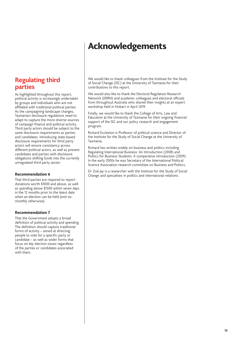# **Acknowledgements**

## **Regulating third parties**

As highlighted throughout this report, political activity is increasingly undertaken by groups and individuals who are not affiliated with traditional political parties. As the campaigning landscape changes, Tasmania's disclosure regulations need to adapt to capture the more diverse sources of campaign finance and political activity. Third party actors should be subject to the same disclosure requirements as parties and candidates. Introducing state-based disclosure requirements for third party actors will ensure consistency across different political actors, as well as prevent candidates and parties with disclosure obligations shifting funds into the currently unregulated third party sector.

### **Recommendation 6**

That third parties are required to report donations worth \$1000 and above, as well as spending above \$1500 within seven days in the 12 months prior to the latest date when an election can be held (and sixmonthly otherwise).

### **Recommendation 7**

That the Government adopts a broad definition of political activity and spending. The definition should capture traditional forms of activity – aimed at directing people to vote for a specific party or candidate – as well as wider forms that focus on key election issues regardless of the parties or candidates associated with them.

We would like to thank colleagues from the Institute for the Study of Social Change (ISC) at the University of Tasmania for their contributions to this report.

We would also like to thank the Electoral Regulation Research Network (ERRN) and academic colleagues and electoral officials from throughout Australia who shared their insights at an expert workshop held in Hobart in April 2019.

Finally, we would like to thank the College of Arts, Law and Education at the University of Tasmania for their ongoing financial support of the ISC and our policy research and engagement program.

Richard Eccleston is Professor of political science and Director of the Institute for the Study of Social Change at the University of Tasmania.

Richard has written widely on business and politics including Regulating International Business: An Introduction (2008) and Politics for Business Students: A comparative introduction (2009). In the early 2000s he was Secretary of the International Political Science Association research committee on Business and Politics.

Dr Zoë Jay is a researcher with the Institute for the Study of Social Change and specialises in politics and international relations.